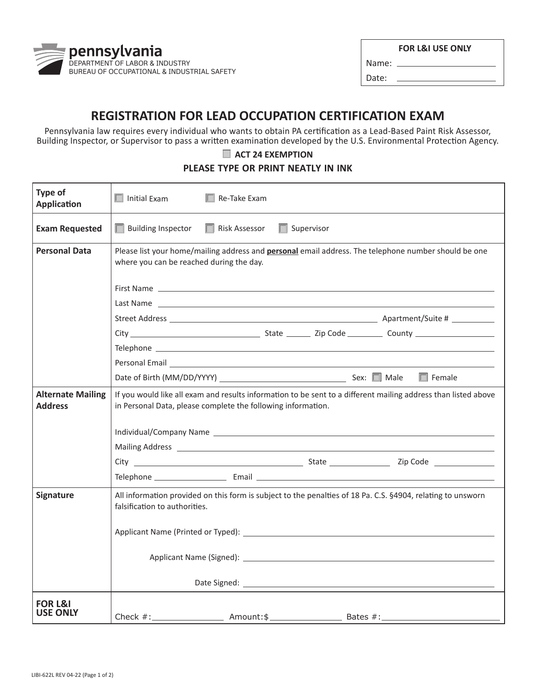

|  |  |  | <b>FOR L&amp;I USE ONLY</b> |
|--|--|--|-----------------------------|
|--|--|--|-----------------------------|

Name: Date:

## **REGISTRATION FOR LEAD OCCUPATION CERTIFICATION EXAM**

Pennsylvania law requires every individual who wants to obtain PA certification as a Lead-Based Paint Risk Assessor, Building Inspector, or Supervisor to pass a written examination developed by the U.S. Environmental Protection Agency.

## **ACT 24 EXEMPTION**

## **PLEASE TYPE OR PRINT NEATLY IN INK**

| Type of<br><b>Application</b>              | Initial Exam<br>$\Box$ Re-Take Exam                                                                                                                                                                                                  |
|--------------------------------------------|--------------------------------------------------------------------------------------------------------------------------------------------------------------------------------------------------------------------------------------|
| <b>Exam Requested</b>                      | $\Box$ Building Inspector<br>Risk Assessor<br>Supervisor<br>a s                                                                                                                                                                      |
| <b>Personal Data</b>                       | Please list your home/mailing address and <b>personal</b> email address. The telephone number should be one<br>where you can be reached during the day.                                                                              |
|                                            |                                                                                                                                                                                                                                      |
|                                            |                                                                                                                                                                                                                                      |
|                                            |                                                                                                                                                                                                                                      |
|                                            |                                                                                                                                                                                                                                      |
|                                            |                                                                                                                                                                                                                                      |
|                                            | Personal Email <b>Executive Contract Contract Contract Contract Contract Contract Contract Contract Contract Contract Contract Contract Contract Contract Contract Contract Contract Contract Contract Contract Contract Contrac</b> |
|                                            | $\Box$ Female                                                                                                                                                                                                                        |
| <b>Alternate Mailing</b><br><b>Address</b> | If you would like all exam and results information to be sent to a different mailing address than listed above<br>in Personal Data, please complete the following information.                                                       |
|                                            |                                                                                                                                                                                                                                      |
|                                            |                                                                                                                                                                                                                                      |
|                                            |                                                                                                                                                                                                                                      |
|                                            |                                                                                                                                                                                                                                      |
| Signature                                  | All information provided on this form is subject to the penalties of 18 Pa. C.S. §4904, relating to unsworn<br>falsification to authorities.                                                                                         |
|                                            |                                                                                                                                                                                                                                      |
|                                            |                                                                                                                                                                                                                                      |
|                                            |                                                                                                                                                                                                                                      |
| <b>FOR L&amp;I</b><br>USE ONLY             |                                                                                                                                                                                                                                      |